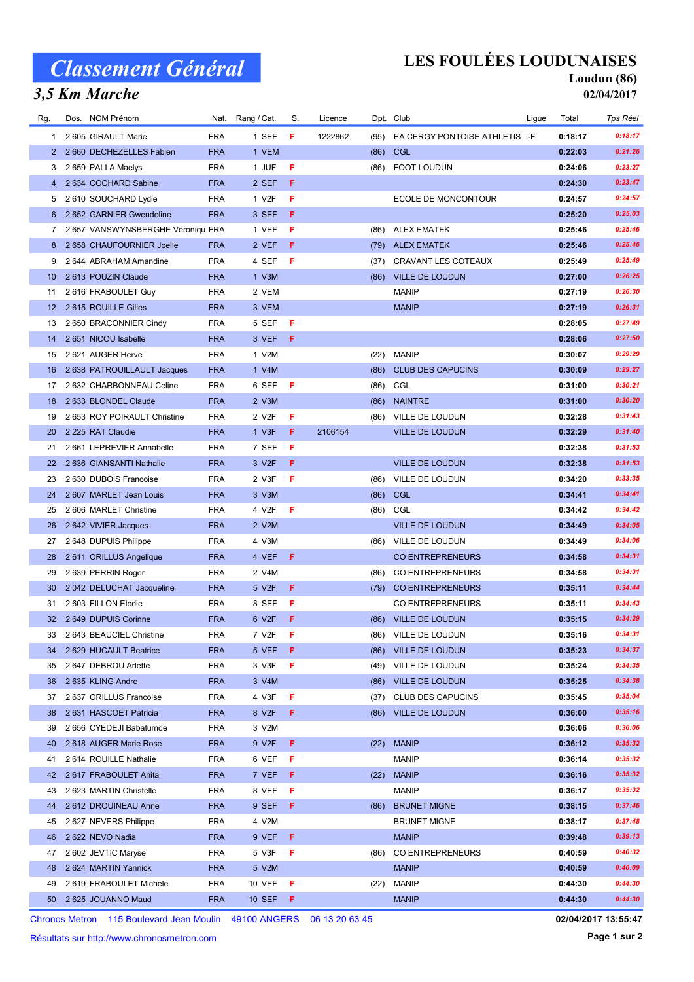# Classement Général

### 3,5 Km Marche

## LES FOULÉES LOUDUNAISES

#### Loudun (86) 02/04/2017

| Rg.             | Dos. NOM Prénom                   |            | Nat. Rang / Cat.   | S. | Licence |      | Dpt. Club                      | Ligue | Total   | Tps Réel |
|-----------------|-----------------------------------|------------|--------------------|----|---------|------|--------------------------------|-------|---------|----------|
| 1               | 2 605 GIRAULT Marie               | <b>FRA</b> | 1 SEF              | F  | 1222862 | (95) | EA CERGY PONTOISE ATHLETIS I-F |       | 0:18:17 | 0:18:17  |
| 2               | 2 660 DECHEZELLES Fabien          | <b>FRA</b> | 1 VEM              |    |         | (86) | CGL                            |       | 0:22:03 | 0:21:26  |
| 3               | 2 659 PALLA Maelys                | <b>FRA</b> | 1 JUF              | F  |         | (86) | FOOT LOUDUN                    |       | 0:24:06 | 0:23:27  |
| 4               | 2 634 COCHARD Sabine              | <b>FRA</b> | 2 SEF              | F. |         |      |                                |       | 0:24:30 | 0:23:47  |
| 5               | 2 610 SOUCHARD Lydie              | <b>FRA</b> | 1 V <sub>2</sub> F | F  |         |      | ECOLE DE MONCONTOUR            |       | 0:24:57 | 0:24:57  |
| 6               | 2 652 GARNIER Gwendoline          | <b>FRA</b> | 3 SEF              | F. |         |      |                                |       | 0:25:20 | 0:25:03  |
| 7               | 2 657 VANSWYNSBERGHE Veroniqu FRA |            | 1 VEF              | F  |         | (86) | <b>ALEX EMATEK</b>             |       | 0:25:46 | 0:25:46  |
| 8               | 2 658 CHAUFOURNIER Joelle         | <b>FRA</b> | 2 VEF              | F  |         |      | (79) ALEX EMATEK               |       | 0:25:46 | 0:25:46  |
| 9               | 2 644 ABRAHAM Amandine            | <b>FRA</b> | 4 SEF              | F  |         | (37) | <b>CRAVANT LES COTEAUX</b>     |       | 0:25:49 | 0:25:49  |
| 10 <sup>°</sup> | 2613 POUZIN Claude                | <b>FRA</b> | 1 V3M              |    |         | (86) | <b>VILLE DE LOUDUN</b>         |       | 0:27:00 | 0:26:25  |
| 11              | 2616 FRABOULET Guy                | <b>FRA</b> | 2 VEM              |    |         |      | <b>MANIP</b>                   |       | 0:27:19 | 0:26:30  |
| 12 <sup>2</sup> | 2615 ROUILLE Gilles               | <b>FRA</b> | 3 VEM              |    |         |      | <b>MANIP</b>                   |       | 0:27:19 | 0:26:31  |
| 13              | 2 650 BRACONNIER Cindy            | <b>FRA</b> | 5 SEF              | F  |         |      |                                |       | 0:28:05 | 0:27:49  |
| 14              | 2 651 NICOU Isabelle              | <b>FRA</b> | 3 VEF              | F. |         |      |                                |       | 0:28:06 | 0:27:50  |
| 15              | 2 621 AUGER Herve                 | <b>FRA</b> | 1 V2M              |    |         | (22) | <b>MANIP</b>                   |       | 0:30:07 | 0:29:29  |
| 16              | 2 638 PATROUILLAULT Jacques       | <b>FRA</b> | 1 V4M              |    |         | (86) | <b>CLUB DES CAPUCINS</b>       |       | 0:30:09 | 0:29:27  |
| 17              | 2 632 CHARBONNEAU Celine          | <b>FRA</b> | 6 SEF              | F  |         | (86) | CGL                            |       | 0:31:00 | 0:30:21  |
| 18              | 2 633 BLONDEL Claude              | <b>FRA</b> | 2 V3M              |    |         | (86) | <b>NAINTRE</b>                 |       | 0:31:00 | 0:30:20  |
| 19              | 2 653 ROY POIRAULT Christine      | <b>FRA</b> | 2 V <sub>2</sub> F | F  |         | (86) | VILLE DE LOUDUN                |       | 0:32:28 | 0:31:43  |
| 20              | 2 225 RAT Claudie                 | <b>FRA</b> | 1 V3F              | F  | 2106154 |      | <b>VILLE DE LOUDUN</b>         |       | 0:32:29 | 0:31:40  |
| 21              | 2 661 LEPREVIER Annabelle         | <b>FRA</b> | 7 SEF              | F  |         |      |                                |       | 0:32:38 | 0:31:53  |
| 22              | 2 636 GIANSANTI Nathalie          | <b>FRA</b> | 3 V <sub>2</sub> F | F  |         |      | <b>VILLE DE LOUDUN</b>         |       | 0:32:38 | 0:31:53  |
| 23              | 2 630 DUBOIS Francoise            | <b>FRA</b> | 2 V3F              | F  |         | (86) | VILLE DE LOUDUN                |       | 0:34:20 | 0:33:35  |
| 24              | 2 607 MARLET Jean Louis           | <b>FRA</b> | 3 V3M              |    |         | (86) | <b>CGL</b>                     |       | 0:34:41 | 0:34:41  |
| 25              | 2 606 MARLET Christine            | <b>FRA</b> | 4 V2F              | F  |         | (86) | CGL                            |       | 0:34:42 | 0:34:42  |
| 26              | 2642 VIVIER Jacques               | <b>FRA</b> | 2 V2M              |    |         |      | <b>VILLE DE LOUDUN</b>         |       | 0:34:49 | 0:34:05  |
| 27              | 2 648 DUPUIS Philippe             | <b>FRA</b> | 4 V3M              |    |         | (86) | VILLE DE LOUDUN                |       | 0:34:49 | 0:34:06  |
| 28              | 2611 ORILLUS Angelique            | <b>FRA</b> | 4 VEF              | F. |         |      | <b>CO ENTREPRENEURS</b>        |       | 0:34:58 | 0:34:31  |
| 29              | 2 639 PERRIN Roger                | <b>FRA</b> | 2 V4M              |    |         | (86) | CO ENTREPRENEURS               |       | 0:34:58 | 0:34:31  |
| 30              | 2 042 DELUCHAT Jacqueline         | <b>FRA</b> | 5 V <sub>2</sub> F | F  |         |      | (79) CO ENTREPRENEURS          |       | 0:35:11 | 0:34:44  |
| 31              | 2 603 FILLON Elodie               | <b>FRA</b> | 8 SEF              | F  |         |      | <b>CO ENTREPRENEURS</b>        |       | 0:35:11 | 0:34:43  |
|                 | 32 2 649 DUPUIS Corinne           | <b>FRA</b> | 6 V2F              | F  |         | (86) | <b>VILLE DE LOUDUN</b>         |       | 0:35:15 | 0:34:29  |
| 33              | 2 643 BEAUCIEL Christine          | <b>FRA</b> | 7 V2F              | F  |         |      | (86) VILLE DE LOUDUN           |       | 0:35:16 | 0:34:31  |
| 34              | 2 629 HUCAULT Beatrice            | <b>FRA</b> | 5 VEF              | F. |         |      | (86) VILLE DE LOUDUN           |       | 0:35:23 | 0:34:37  |
| 35              | 2 647 DEBROU Arlette              | <b>FRA</b> | 3 V3F              | F  |         |      | (49) VILLE DE LOUDUN           |       | 0:35:24 | 0:34:35  |
| 36              | 2 635 KLING Andre                 | <b>FRA</b> | 3 V4M              |    |         | (86) | VILLE DE LOUDUN                |       | 0:35:25 | 0:34:38  |
| 37              | 2 637 ORILLUS Francoise           | <b>FRA</b> | 4 V3F              | F  |         | (37) | <b>CLUB DES CAPUCINS</b>       |       | 0:35:45 | 0:35:04  |
| 38              | 2631 HASCOET Patricia             | <b>FRA</b> | 8 V <sub>2</sub> F | F. |         | (86) | <b>VILLE DE LOUDUN</b>         |       | 0:36:00 | 0:35:16  |
| 39              | 2 656 CYEDEJI Babatumde           | <b>FRA</b> | 3 V2M              |    |         |      |                                |       | 0:36:06 | 0:36:06  |
| 40              | 2618 AUGER Marie Rose             | <b>FRA</b> | 9 V2F              | F. |         | (22) | <b>MANIP</b>                   |       | 0:36:12 | 0:35:32  |
| 41              | 2 614 ROUILLE Nathalie            | <b>FRA</b> | 6 VEF              | F  |         |      | <b>MANIP</b>                   |       | 0:36:14 | 0:35:32  |
| 42              | 2617 FRABOULET Anita              | <b>FRA</b> | 7 VEF              | F  |         | (22) | <b>MANIP</b>                   |       | 0:36:16 | 0:35:32  |
| 43              | 2 623 MARTIN Christelle           | <b>FRA</b> | 8 VEF              | F  |         |      | <b>MANIP</b>                   |       | 0:36:17 | 0:35:32  |
| 44              | 2612 DROUINEAU Anne               | <b>FRA</b> | 9 SEF              | F  |         | (86) | <b>BRUNET MIGNE</b>            |       | 0:38:15 | 0:37:46  |
| 45              | 2627 NEVERS Philippe              | <b>FRA</b> | 4 V2M              |    |         |      | <b>BRUNET MIGNE</b>            |       | 0:38:17 | 0:37:48  |
| 46              | 2 622 NEVO Nadia                  | <b>FRA</b> | 9 VEF              | F. |         |      | <b>MANIP</b>                   |       | 0:39:48 | 0:39:13  |
| 47              | 2 602 JEVTIC Maryse               | <b>FRA</b> | 5 V3F              | F  |         | (86) | CO ENTREPRENEURS               |       | 0:40:59 | 0:40:32  |
| 48              | 2 624 MARTIN Yannick              | <b>FRA</b> | 5 V2M              |    |         |      | <b>MANIP</b>                   |       | 0:40:59 | 0:40:09  |
| 49              | 2 619 FRABOULET Michele           | <b>FRA</b> | 10 VEF             | F  |         | (22) | <b>MANIP</b>                   |       | 0:44:30 | 0:44:30  |
| 50              | 2 625 JOUANNO Maud                | <b>FRA</b> | 10 SEF <b>F</b>    |    |         |      | <b>MANIP</b>                   |       | 0:44:30 | 0:44:30  |

Chronos Metron 115 Boulevard Jean Moulin 49100 ANGERS 06 13 20 63 45

Résultats sur http://www.chronosmetron.com

Page 1 sur 2 02/04/2017 13:55:47